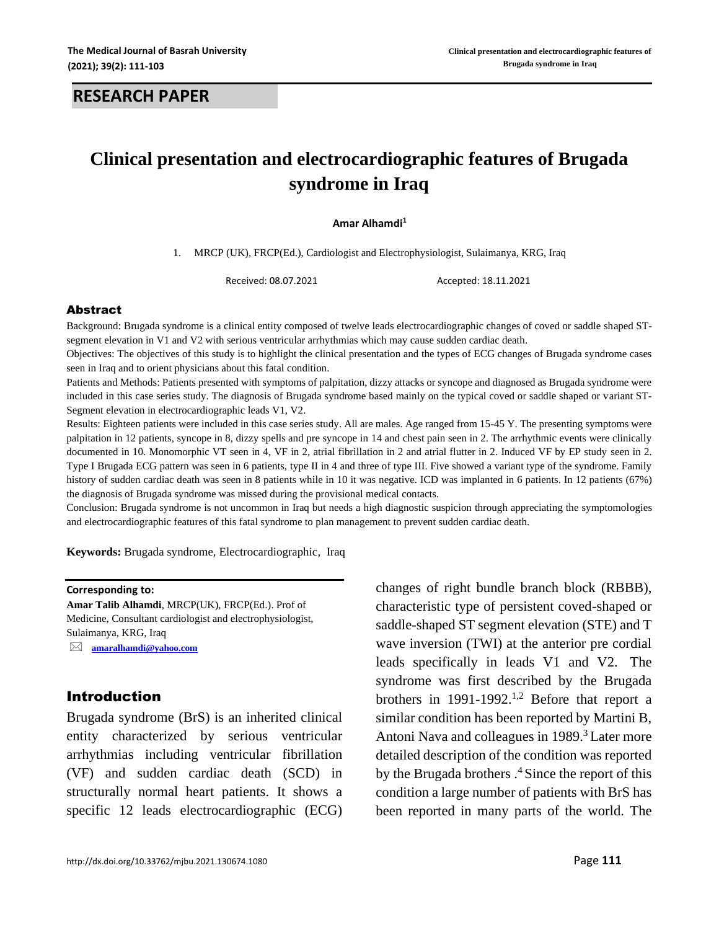# **Clinical presentation and electrocardiographic features of Brugada syndrome in Iraq**

#### **Amar Alhamdi<sup>1</sup>**

1. MRCP (UK), FRCP(Ed.), Cardiologist and Electrophysiologist, Sulaimanya, KRG, Iraq

Received: 08.07.2021 Accepted: 18.11.2021

### Abstract

Background: Brugada syndrome is a clinical entity composed of twelve leads electrocardiographic changes of coved or saddle shaped STsegment elevation in V1 and V2 with serious ventricular arrhythmias which may cause sudden cardiac death.

Objectives: The objectives of this study is to highlight the clinical presentation and the types of ECG changes of Brugada syndrome cases seen in Iraq and to orient physicians about this fatal condition.

Patients and Methods: Patients presented with symptoms of palpitation, dizzy attacks or syncope and diagnosed as Brugada syndrome were included in this case series study. The diagnosis of Brugada syndrome based mainly on the typical coved or saddle shaped or variant ST-Segment elevation in electrocardiographic leads V1, V2.

Results: Eighteen patients were included in this case series study. All are males. Age ranged from 15-45 Y. The presenting symptoms were palpitation in 12 patients, syncope in 8, dizzy spells and pre syncope in 14 and chest pain seen in 2. The arrhythmic events were clinically documented in 10. Monomorphic VT seen in 4, VF in 2, atrial fibrillation in 2 and atrial flutter in 2. Induced VF by EP study seen in 2. Type I Brugada ECG pattern was seen in 6 patients, type II in 4 and three of type III. Five showed a variant type of the syndrome. Family history of sudden cardiac death was seen in 8 patients while in 10 it was negative. ICD was implanted in 6 patients. In 12 patients (67%) the diagnosis of Brugada syndrome was missed during the provisional medical contacts.

Conclusion: Brugada syndrome is not uncommon in Iraq but needs a high diagnostic suspicion through appreciating the symptomologies and electrocardiographic features of this fatal syndrome to plan management to prevent sudden cardiac death.

**Keywords:** Brugada syndrome, Electrocardiographic, Iraq

#### **Corresponding to:**

**Amar Talib Alhamdi**, MRCP(UK), FRCP(Ed.). Prof of Medicine, Consultant cardiologist and electrophysiologist, Sulaimanya, KRG, Iraq

 **[amaralhamdi@yahoo.com](mailto:amaralhamdi@yahoo.com)**

## Introduction

Brugada syndrome (BrS) is an inherited clinical entity characterized by serious ventricular arrhythmias including ventricular fibrillation (VF) and sudden cardiac death (SCD) in structurally normal heart patients. It shows a specific 12 leads electrocardiographic (ECG) changes of right bundle branch block (RBBB), characteristic type of persistent coved-shaped or saddle-shaped ST segment elevation (STE) and T wave inversion (TWI) at the anterior pre cordial leads specifically in leads V1 and V2. The syndrome was first described by the Brugada brothers in 1991-1992.<sup>1,2</sup> Before that report a similar condition has been reported by Martini B, Antoni Nava and colleagues in 1989.<sup>3</sup> Later more detailed description of the condition was reported by the Brugada brothers  $.4$  Since the report of this condition a large number of patients with BrS has been reported in many parts of the world. The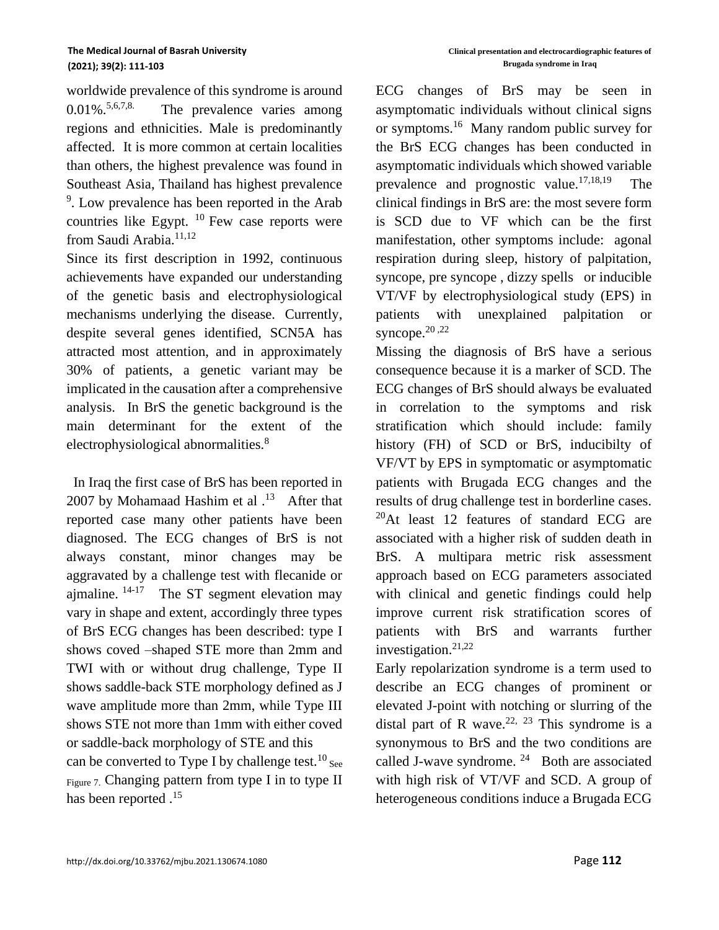worldwide prevalence of this syndrome is around  $0.01\%$ . 5,6,7,8. The prevalence varies among regions and ethnicities. Male is predominantly affected. It is more common at certain localities than others, the highest prevalence was found in Southeast Asia, Thailand has highest prevalence <sup>9</sup>. Low prevalence has been reported in the Arab countries like Egypt.  $10$  Few case reports were from Saudi Arabia.<sup>11,12</sup>

Since its first description in 1992, continuous achievements have expanded our understanding of the genetic basis and electrophysiological mechanisms underlying the disease. Currently, despite several genes identified, SCN5A has attracted most attention, and in approximately 30% of patients, a genetic variant may be implicated in the causation after a comprehensive analysis. In BrS the genetic background is the main determinant for the extent of the electrophysiological abnormalities.<sup>8</sup>

 In Iraq the first case of BrS has been reported in 2007 by Mohamaad Hashim et al  $.13$  After that reported case many other patients have been diagnosed. The ECG changes of BrS is not always constant, minor changes may be aggravated by a challenge test with flecanide or ajmaline.  $14-17$  The ST segment elevation may vary in shape and extent, accordingly three types of BrS ECG changes has been described: type I shows coved –shaped STE more than 2mm and TWI with or without drug challenge, Type II shows saddle-back STE morphology defined as J wave amplitude more than 2mm, while Type III shows STE not more than 1mm with either coved or saddle-back morphology of STE and this can be converted to Type I by challenge test.<sup>10</sup> see Figure 7. Changing pattern from type I in to type II has been reported  $^{15}$ 

ECG changes of BrS may be seen in asymptomatic individuals without clinical signs or symptoms.<sup>16</sup> Many random public survey for the BrS ECG changes has been conducted in asymptomatic individuals which showed variable prevalence and prognostic value. $17,18,19$  The clinical findings in BrS are: the most severe form is SCD due to VF which can be the first manifestation, other symptoms include: agonal respiration during sleep, history of palpitation, syncope, pre syncope , dizzy spells or inducible VT/VF by electrophysiological study (EPS) in patients with unexplained palpitation or syncope. $20,22$ 

Missing the diagnosis of BrS have a serious consequence because it is a marker of SCD. The ECG changes of BrS should always be evaluated in correlation to the symptoms and risk stratification which should include: family history (FH) of SCD or BrS, inducibilty of VF/VT by EPS in symptomatic or asymptomatic patients with Brugada ECG changes and the results of drug challenge test in borderline cases.  $^{20}$ At least 12 features of standard ECG are associated with a higher risk of sudden death in BrS. A multipara metric risk assessment approach based on ECG parameters associated with clinical and genetic findings could help improve current risk stratification scores of patients with BrS and warrants further investigation.<sup>21,22</sup>

Early repolarization syndrome is a term used to describe an ECG changes of prominent or elevated J-point with notching or slurring of the distal part of R wave.<sup>22, 23</sup> This syndrome is a synonymous to BrS and the two conditions are called J-wave syndrome.  $24$  Both are associated with high risk of VT/VF and SCD. A group of heterogeneous conditions induce a Brugada ECG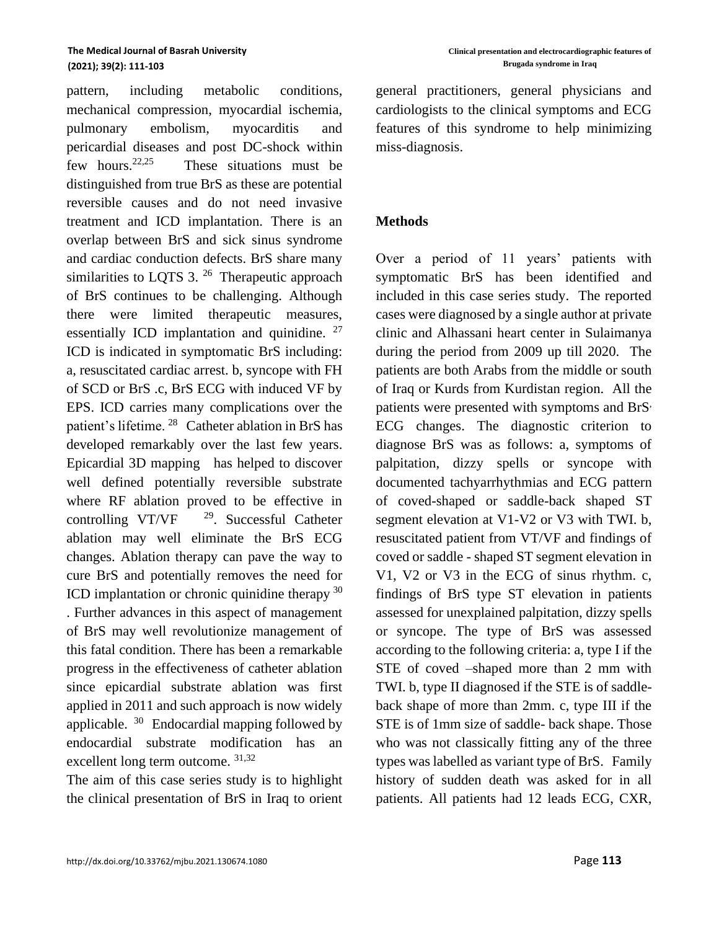pattern, including metabolic conditions, mechanical compression, myocardial ischemia, pulmonary embolism, myocarditis and pericardial diseases and post DC-shock within few hours. $22,25$  These situations must be distinguished from true BrS as these are potential reversible causes and do not need invasive treatment and ICD implantation. There is an overlap between BrS and sick sinus syndrome and cardiac conduction defects. BrS share many similarities to LQTS  $3.26$  Therapeutic approach of BrS continues to be challenging. Although there were limited therapeutic measures, essentially ICD implantation and quinidine. <sup>27</sup> ICD is indicated in symptomatic BrS including: a, resuscitated cardiac arrest. b, syncope with FH of SCD or BrS .c, BrS ECG with induced VF by EPS. ICD carries many complications over the patient's lifetime. <sup>28</sup> Catheter ablation in BrS has developed remarkably over the last few years. Epicardial 3D mapping has helped to discover well defined potentially reversible substrate where RF ablation proved to be effective in controlling  $VT/VF$  <sup>29</sup>. Successful Catheter ablation may well eliminate the BrS ECG changes. Ablation therapy can pave the way to cure BrS and potentially removes the need for ICD implantation or chronic quinidine therapy  $30$ . Further advances in this aspect of management of BrS may well revolutionize management of this fatal condition. There has been a remarkable progress in the effectiveness of catheter ablation since epicardial substrate ablation was first applied in 2011 and such approach is now widely applicable. <sup>30</sup> Endocardial mapping followed by endocardial substrate modification has an excellent long term outcome. 31,32

The aim of this case series study is to highlight the clinical presentation of BrS in Iraq to orient general practitioners, general physicians and cardiologists to the clinical symptoms and ECG features of this syndrome to help minimizing miss-diagnosis.

### **Methods**

Over a period of 11 years' patients with symptomatic BrS has been identified and included in this case series study. The reported cases were diagnosed by a single author at private clinic and Alhassani heart center in Sulaimanya during the period from 2009 up till 2020. The patients are both Arabs from the middle or south of Iraq or Kurds from Kurdistan region. All the patients were presented with symptoms and BrS<sup>,</sup> ECG changes. The diagnostic criterion to diagnose BrS was as follows: a, symptoms of palpitation, dizzy spells or syncope with documented tachyarrhythmias and ECG pattern of coved-shaped or saddle-back shaped ST segment elevation at V1-V2 or V3 with TWI. b, resuscitated patient from VT/VF and findings of coved or saddle - shaped ST segment elevation in V1, V2 or V3 in the ECG of sinus rhythm. c, findings of BrS type ST elevation in patients assessed for unexplained palpitation, dizzy spells or syncope. The type of BrS was assessed according to the following criteria: a, type I if the STE of coved –shaped more than 2 mm with TWI. b, type II diagnosed if the STE is of saddleback shape of more than 2mm. c, type III if the STE is of 1mm size of saddle- back shape. Those who was not classically fitting any of the three types was labelled as variant type of BrS. Family history of sudden death was asked for in all patients. All patients had 12 leads ECG, CXR,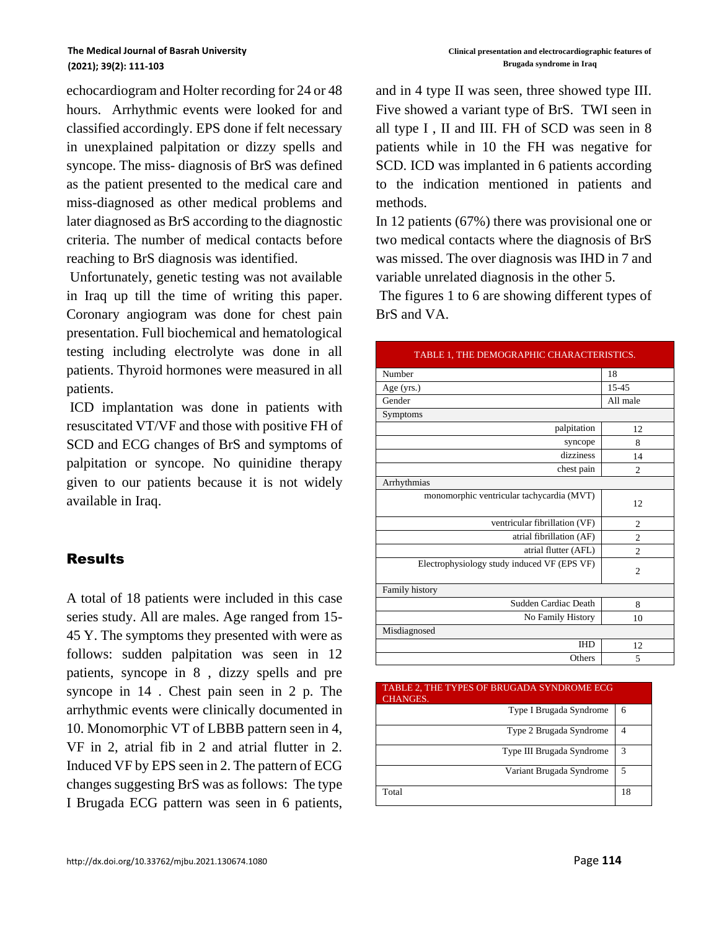echocardiogram and Holter recording for 24 or 48 hours. Arrhythmic events were looked for and classified accordingly. EPS done if felt necessary in unexplained palpitation or dizzy spells and syncope. The miss- diagnosis of BrS was defined as the patient presented to the medical care and miss-diagnosed as other medical problems and later diagnosed as BrS according to the diagnostic criteria. The number of medical contacts before reaching to BrS diagnosis was identified.

Unfortunately, genetic testing was not available in Iraq up till the time of writing this paper. Coronary angiogram was done for chest pain presentation. Full biochemical and hematological testing including electrolyte was done in all patients. Thyroid hormones were measured in all patients.

ICD implantation was done in patients with resuscitated VT/VF and those with positive FH of SCD and ECG changes of BrS and symptoms of palpitation or syncope. No quinidine therapy given to our patients because it is not widely available in Iraq.

# Results

A total of 18 patients were included in this case series study. All are males. Age ranged from 15- 45 Y. The symptoms they presented with were as follows: sudden palpitation was seen in 12 patients, syncope in 8 , dizzy spells and pre syncope in 14 . Chest pain seen in 2 p. The arrhythmic events were clinically documented in 10. Monomorphic VT of LBBB pattern seen in 4, VF in 2, atrial fib in 2 and atrial flutter in 2. Induced VF by EPS seen in 2. The pattern of ECG changes suggesting BrS was as follows: The type I Brugada ECG pattern was seen in 6 patients, and in 4 type II was seen, three showed type III. Five showed a variant type of BrS. TWI seen in all type I , II and III. FH of SCD was seen in 8 patients while in 10 the FH was negative for SCD. ICD was implanted in 6 patients according to the indication mentioned in patients and methods.

In 12 patients (67%) there was provisional one or two medical contacts where the diagnosis of BrS was missed. The over diagnosis was IHD in 7 and variable unrelated diagnosis in the other 5.

The figures 1 to 6 are showing different types of BrS and VA.

| Number<br>18<br>15-45<br>Age (yrs.)<br>Gender<br>All male<br>Symptoms<br>palpitation<br>12<br>syncope<br>8<br>dizziness<br>14<br>chest pain<br>$\mathfrak{D}$<br>Arrhythmias<br>monomorphic ventricular tachycardia (MVT)<br>12.<br>ventricular fibrillation (VF)<br>$\overline{c}$<br>atrial fibrillation (AF)<br>$\overline{c}$<br>atrial flutter (AFL)<br>$\overline{c}$<br>Electrophysiology study induced VF (EPS VF)<br>$\overline{2}$<br>Family history<br>Sudden Cardiac Death<br>8<br>No Family History<br>10<br>Misdiagnosed<br><b>IHD</b><br>12<br>Others<br>5 | TABLE 1, THE DEMOGRAPHIC CHARACTERISTICS. |  |  |
|---------------------------------------------------------------------------------------------------------------------------------------------------------------------------------------------------------------------------------------------------------------------------------------------------------------------------------------------------------------------------------------------------------------------------------------------------------------------------------------------------------------------------------------------------------------------------|-------------------------------------------|--|--|
|                                                                                                                                                                                                                                                                                                                                                                                                                                                                                                                                                                           |                                           |  |  |
|                                                                                                                                                                                                                                                                                                                                                                                                                                                                                                                                                                           |                                           |  |  |
|                                                                                                                                                                                                                                                                                                                                                                                                                                                                                                                                                                           |                                           |  |  |
|                                                                                                                                                                                                                                                                                                                                                                                                                                                                                                                                                                           |                                           |  |  |
|                                                                                                                                                                                                                                                                                                                                                                                                                                                                                                                                                                           |                                           |  |  |
|                                                                                                                                                                                                                                                                                                                                                                                                                                                                                                                                                                           |                                           |  |  |
|                                                                                                                                                                                                                                                                                                                                                                                                                                                                                                                                                                           |                                           |  |  |
|                                                                                                                                                                                                                                                                                                                                                                                                                                                                                                                                                                           |                                           |  |  |
|                                                                                                                                                                                                                                                                                                                                                                                                                                                                                                                                                                           |                                           |  |  |
|                                                                                                                                                                                                                                                                                                                                                                                                                                                                                                                                                                           |                                           |  |  |
|                                                                                                                                                                                                                                                                                                                                                                                                                                                                                                                                                                           |                                           |  |  |
|                                                                                                                                                                                                                                                                                                                                                                                                                                                                                                                                                                           |                                           |  |  |
|                                                                                                                                                                                                                                                                                                                                                                                                                                                                                                                                                                           |                                           |  |  |
|                                                                                                                                                                                                                                                                                                                                                                                                                                                                                                                                                                           |                                           |  |  |
|                                                                                                                                                                                                                                                                                                                                                                                                                                                                                                                                                                           |                                           |  |  |
|                                                                                                                                                                                                                                                                                                                                                                                                                                                                                                                                                                           |                                           |  |  |
|                                                                                                                                                                                                                                                                                                                                                                                                                                                                                                                                                                           |                                           |  |  |
|                                                                                                                                                                                                                                                                                                                                                                                                                                                                                                                                                                           |                                           |  |  |
|                                                                                                                                                                                                                                                                                                                                                                                                                                                                                                                                                                           |                                           |  |  |
|                                                                                                                                                                                                                                                                                                                                                                                                                                                                                                                                                                           |                                           |  |  |

| TABLE 2, THE TYPES OF BRUGADA SYNDROME ECG<br><b>CHANGES.</b> |               |
|---------------------------------------------------------------|---------------|
| Type I Brugada Syndrome                                       | 6             |
| Type 2 Brugada Syndrome                                       | 4             |
| Type III Brugada Syndrome                                     | $\mathcal{R}$ |
| Variant Brugada Syndrome                                      | 5             |
| Total                                                         | 18            |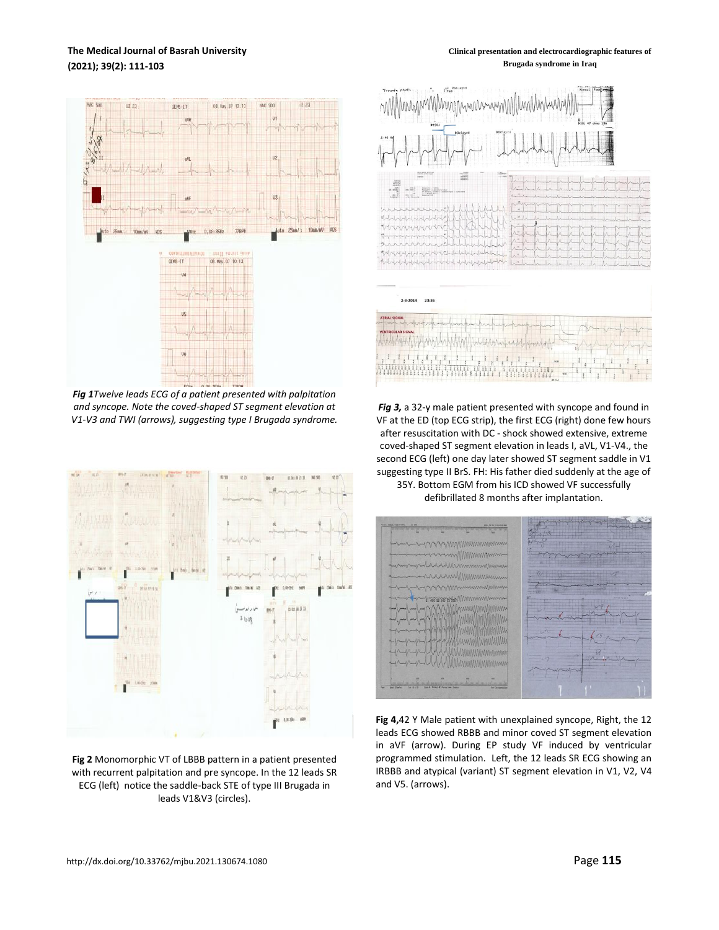### **The Medical Journal of Basrah University (2021); 39(2): 111-103**

**Clinical presentation and electrocardiographic features of Brugada syndrome in Iraq**



*Fig 1Twelve leads ECG of a patient presented with palpitation and syncope. Note the coved-shaped ST segment elevation at V1-V3 and TWI (arrows), suggesting type I Brugada syndrome.*



**Fig 2** Monomorphic VT of LBBB pattern in a patient presented with recurrent palpitation and pre syncope. In the 12 leads SR ECG (left) notice the saddle-back STE of type III Brugada in leads V1&V3 (circles).



*Fig 3,* a 32-y male patient presented with syncope and found in VF at the ED (top ECG strip), the first ECG (right) done few hours after resuscitation with DC - shock showed extensive, extreme coved-shaped ST segment elevation in leads I, aVL, V1-V4., the second ECG (left) one day later showed ST segment saddle in V1 suggesting type II BrS. FH: His father died suddenly at the age of 35Y. Bottom EGM from his ICD showed VF successfully

defibrillated 8 months after implantation.



**Fig 4,**42 Y Male patient with unexplained syncope, Right, the 12 leads ECG showed RBBB and minor coved ST segment elevation in aVF (arrow). During EP study VF induced by ventricular programmed stimulation. Left, the 12 leads SR ECG showing an IRBBB and atypical (variant) ST segment elevation in V1, V2, V4 and V5. (arrows).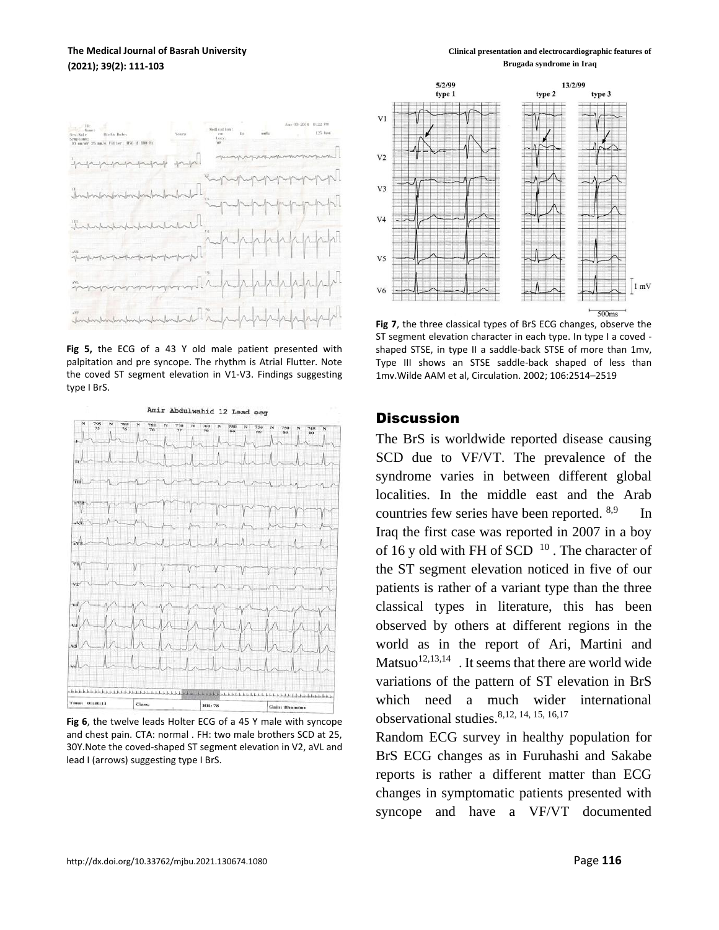### **The Medical Journal of Basrah University (2021); 39(2): 111-103**

**Fig 5,** the ECG of a 43 Y old male patient presented with palpitation and pre syncope. The rhythm is Atrial Flutter. Note the coved ST segment elevation in V1-V3. Findings suggesting type I BrS.



**Fig 6**, the twelve leads Holter ECG of a 45 Y male with syncope and chest pain. CTA: normal . FH: two male brothers SCD at 25, 30Y.Note the coved-shaped ST segment elevation in V2, aVL and lead I (arrows) suggesting type I BrS.

**Clinical presentation and electrocardiographic features of Brugada syndrome in Iraq**



**Fig 7**, the three classical types of BrS ECG changes, observe the ST segment elevation character in each type. In type I a coved shaped STSE, in type II a saddle-back STSE of more than 1mv, Type III shows an STSE saddle-back shaped of less than 1mv.Wilde AAM et al, Circulation. 2002; 106:2514–2519

## **Discussion**

The BrS is worldwide reported disease causing SCD due to VF/VT. The prevalence of the syndrome varies in between different global localities. In the middle east and the Arab countries few series have been reported. 8,9 In Iraq the first case was reported in 2007 in a boy of 16 y old with FH of SCD  $10$ . The character of the ST segment elevation noticed in five of our patients is rather of a variant type than the three classical types in literature, this has been observed by others at different regions in the world as in the report of Ari, Martini and Matsuo $12,13,14$ . It seems that there are world wide variations of the pattern of ST elevation in BrS which need a much wider international observational studies.8,12, 14, 15, 16,17

Random ECG survey in healthy population for BrS ECG changes as in Furuhashi and Sakabe reports is rather a different matter than ECG changes in symptomatic patients presented with syncope and have a VF/VT documented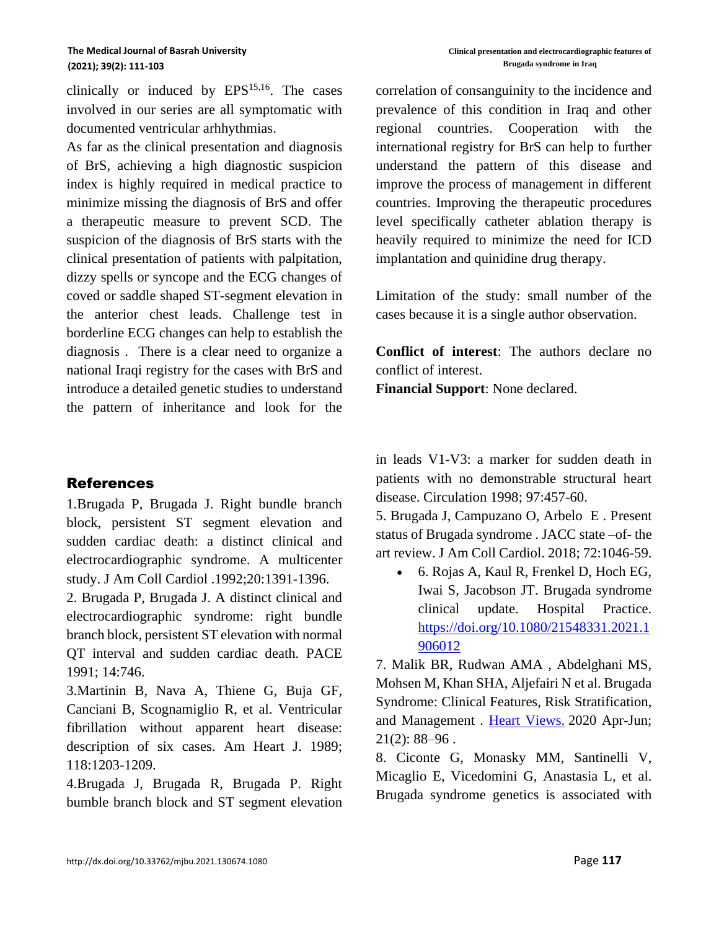clinically or induced by  $EPS<sup>15,16</sup>$ . The cases involved in our series are all symptomatic with documented ventricular arhhythmias.

As far as the clinical presentation and diagnosis of BrS, achieving a high diagnostic suspicion index is highly required in medical practice to minimize missing the diagnosis of BrS and offer a therapeutic measure to prevent SCD. The suspicion of the diagnosis of BrS starts with the clinical presentation of patients with palpitation, dizzy spells or syncope and the ECG changes of coved or saddle shaped ST-segment elevation in the anterior chest leads. Challenge test in borderline ECG changes can help to establish the diagnosis . There is a clear need to organize a national Iraqi registry for the cases with BrS and introduce a detailed genetic studies to understand the pattern of inheritance and look for the

# References

1.Brugada P, Brugada J. Right bundle branch block, persistent ST segment elevation and sudden cardiac death: a distinct clinical and electrocardiographic syndrome. A multicenter study. J Am Coll Cardiol .1992;20:1391-1396.

2. Brugada P, Brugada J. A distinct clinical and electrocardiographic syndrome: right bundle branch block, persistent ST elevation with normal QT interval and sudden cardiac death. PACE 1991; 14:746.

3.Martinin B, Nava A, Thiene G, Buja GF, Canciani B, Scognamiglio R, et al. Ventricular fibrillation without apparent heart disease: description of six cases. Am Heart J. 1989; 118:1203-1209.

4.Brugada J, Brugada R, Brugada P. Right bumble branch block and ST segment elevation correlation of consanguinity to the incidence and prevalence of this condition in Iraq and other regional countries. Cooperation with the international registry for BrS can help to further understand the pattern of this disease and improve the process of management in different countries. Improving the therapeutic procedures level specifically catheter ablation therapy is heavily required to minimize the need for ICD implantation and quinidine drug therapy.

Limitation of the study: small number of the cases because it is a single author observation.

**Conflict of interest**: The authors declare no conflict of interest.

**Financial Support**: None declared.

in leads V1-V3: a marker for sudden death in patients with no demonstrable structural heart disease. Circulation 1998; 97:457-60.

5. Brugada J, Campuzano O, Arbelo E . Present status of Brugada syndrome . JACC state –of- the art review. J Am Coll Cardiol. 2018; 72:1046-59.

• 6. Rojas A, Kaul R, Frenkel D, Hoch EG, Iwai S, Jacobson JT. Brugada syndrome clinical update. Hospital Practice. [https://doi.org/10.1080/21548331.2021.1](https://doi.org/10.1080/21548331.2021.1906012) [906012](https://doi.org/10.1080/21548331.2021.1906012)

7. Malik BR, Rudwan AMA , Abdelghani MS, Mohsen M, Khan SHA, Aljefairi N et al. Brugada Syndrome: Clinical Features, Risk Stratification, and Management . [Heart Views.](https://www.ncbi.nlm.nih.gov/pmc/articles/PMC7507903/) 2020 Apr-Jun;  $21(2): 88 - 96$ .

8. Ciconte G, Monasky MM, Santinelli V, Micaglio E, Vicedomini G, Anastasia L, et al. Brugada syndrome genetics is associated with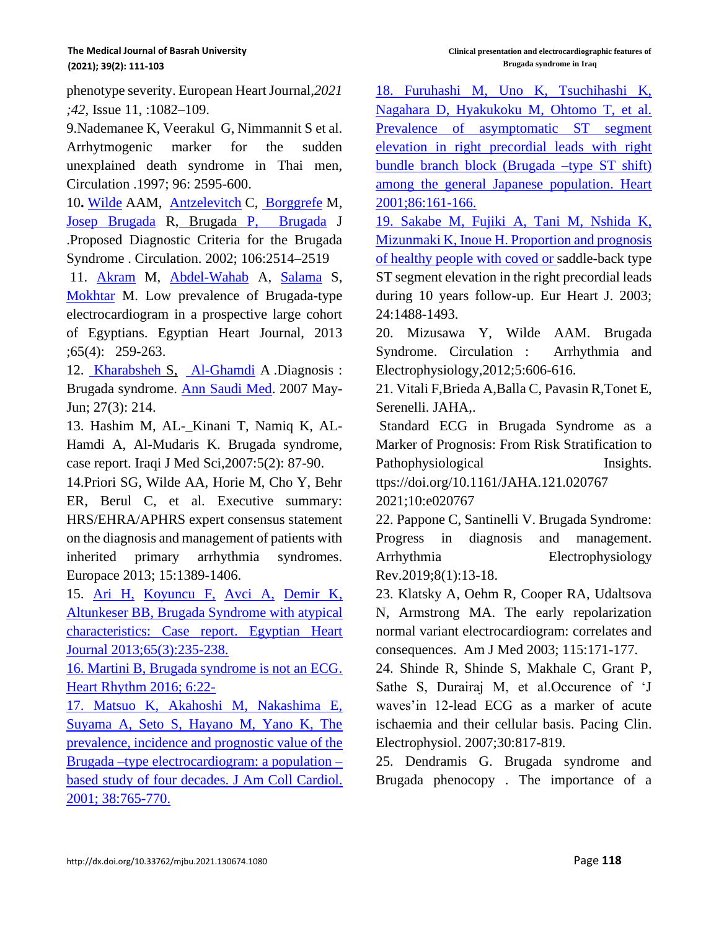phenotype severity. European Heart Journal*,2021 ;42*, Issue 11, :1082–109.

9.Nademanee K, Veerakul G, Nimmannit S et al. Arrhytmogenic marker for the sudden unexplained death syndrome in Thai men, Circulation .1997; 96: 2595-600.

10**.** [Wilde](https://www.ahajournals.org/doi/full/10.1161/01.cir.0000034169.45752.4a) AAM, [Antzelevitch](https://www.ahajournals.org/doi/full/10.1161/01.cir.0000034169.45752.4a) C, [Borggrefe](https://www.ahajournals.org/doi/full/10.1161/01.cir.0000034169.45752.4a) M, [Josep Brugada](https://www.ahajournals.org/doi/full/10.1161/01.cir.0000034169.45752.4a) R, Brugada [P, Brugada](https://www.ahajournals.org/doi/full/10.1161/01.cir.0000034169.45752.4a) J .Proposed Diagnostic Criteria for the Brugada Syndrome . Circulation. 2002; 106:2514–2519

11. [Akram](https://www.sciencedirect.com/science/article/pii/S1110260813000537#!) M, [Abdel-Wahab](https://www.sciencedirect.com/science/article/pii/S1110260813000537#!) A, [Salama](https://www.sciencedirect.com/science/article/pii/S1110260813000537#!) S, [Mokhtar](https://www.sciencedirect.com/science/article/pii/S1110260813000537#!) M. Low prevalence of Brugada-type electrocardiogram in a prospective large cohort of Egyptians. Egyptian Heart Journal, 2013 ;65(4): 259-263.

12. [Kharabsheh](https://www.ncbi.nlm.nih.gov/pubmed/?term=Kharabsheh%20SM%5BAuthor%5D&cauthor=true&cauthor_uid=17568160) S, [Al-Ghamdi](https://www.ncbi.nlm.nih.gov/pubmed/?term=Al-Ghamdi%20A%5BAuthor%5D&cauthor=true&cauthor_uid=17568160) A .Diagnosis : Brugada syndrome. [Ann Saudi Med.](https://www.ncbi.nlm.nih.gov/pmc/articles/PMC6077076/) 2007 May-Jun; 27(3): 214.

13. Hashim M, AL- Kinani T, Namiq K, AL-Hamdi A, Al-Mudaris K. Brugada syndrome, case report. Iraqi J Med Sci,2007:5(2): 87-90.

14.Priori SG, Wilde AA, Horie M, Cho Y, Behr ER, Berul C, et al. Executive summary: HRS/EHRA/APHRS expert consensus statement on the diagnosis and management of patients with inherited primary arrhythmia syndromes. Europace 2013; 15:1389-1406.

15. [Ari H,](https://www.sciencedirect.com/science/article/pii/S1110260813000239#!) [Koyuncu F,](https://www.sciencedirect.com/science/article/pii/S1110260813000239#!) [Avci A,](https://www.sciencedirect.com/science/article/pii/S1110260813000239#!) [Demir K,](https://www.sciencedirect.com/science/article/pii/S1110260813000239#!) [Altunkeser BB, Brugada Syndrome with atypical](https://www.sciencedirect.com/science/article/pii/S1110260813000239#!)  [characteristics: Case report. Egyptian Heart](https://www.sciencedirect.com/science/article/pii/S1110260813000239#!)  [Journal 2013;65\(3\):235-238.](https://www.sciencedirect.com/science/article/pii/S1110260813000239#!) 

[16. Martini B, Brugada syndrome is not an ECG.](https://www.sciencedirect.com/science/article/pii/S1110260813000239#!)  [Heart Rhythm 2016; 6:22-](https://www.sciencedirect.com/science/article/pii/S1110260813000239#!)

[17. Matsuo K, Akahoshi M, Nakashima E,](https://www.sciencedirect.com/science/article/pii/S1110260813000239#!)  [Suyama A, Seto S, Hayano M, Yano K, The](https://www.sciencedirect.com/science/article/pii/S1110260813000239#!)  [prevalence, incidence and prognostic value of the](https://www.sciencedirect.com/science/article/pii/S1110260813000239#!)  [Brugada –type electrocardiogram: a population –](https://www.sciencedirect.com/science/article/pii/S1110260813000239#!) [based study of four decades. J Am Coll Cardiol.](https://www.sciencedirect.com/science/article/pii/S1110260813000239#!)  [2001; 38:765-770.](https://www.sciencedirect.com/science/article/pii/S1110260813000239#!) 

[18. Furuhashi M, Uno K, Tsuchihashi K,](https://www.sciencedirect.com/science/article/pii/S1110260813000239#!)  [Nagahara D, Hyakukoku M, Ohtomo T, et al.](https://www.sciencedirect.com/science/article/pii/S1110260813000239#!)  [Prevalence of asymptomatic ST segment](https://www.sciencedirect.com/science/article/pii/S1110260813000239#!)  [elevation in right precordial leads with right](https://www.sciencedirect.com/science/article/pii/S1110260813000239#!)  [bundle branch block \(Brugada –type ST shift\)](https://www.sciencedirect.com/science/article/pii/S1110260813000239#!)  [among the general Japanese population. Heart](https://www.sciencedirect.com/science/article/pii/S1110260813000239#!)  [2001;86:161-166.](https://www.sciencedirect.com/science/article/pii/S1110260813000239#!) 

[19. Sakabe M, Fujiki A, Tani M, Nshida K,](https://www.sciencedirect.com/science/article/pii/S1110260813000239#!)  [Mizunmaki K, Inoue H. Proportion and prognosis](https://www.sciencedirect.com/science/article/pii/S1110260813000239#!)  [of healthy people with coved or](https://www.sciencedirect.com/science/article/pii/S1110260813000239#!) saddle-back type ST segment elevation in the right precordial leads during 10 years follow-up. Eur Heart J. 2003; 24:1488-1493.

20. Mizusawa Y, Wilde AAM. Brugada Syndrome. Circulation : Arrhythmia and Electrophysiology,2012;5:606-616.

21. Vitali F,Brieda A,Balla C, Pavasin R,Tonet E, Serenelli. JAHA,.

Standard ECG in Brugada Syndrome as a Marker of Prognosis: From Risk Stratification to Pathophysiological Insights.

ttps://doi.org/10.1161/JAHA.121.020767 2021;10:e020767

22. Pappone C, Santinelli V. Brugada Syndrome: Progress in diagnosis and management. Arrhythmia Electrophysiology Rev.2019;8(1):13-18.

23. Klatsky A, Oehm R, Cooper RA, Udaltsova N, Armstrong MA. The early repolarization normal variant electrocardiogram: correlates and consequences. Am J Med 2003; 115:171-177.

24. Shinde R, Shinde S, Makhale C, Grant P, Sathe S, Durairaj M, et al.Occurence of 'J waves'in 12-lead ECG as a marker of acute ischaemia and their cellular basis. Pacing Clin. Electrophysiol. 2007;30:817-819.

25. Dendramis G. Brugada syndrome and Brugada phenocopy . The importance of a